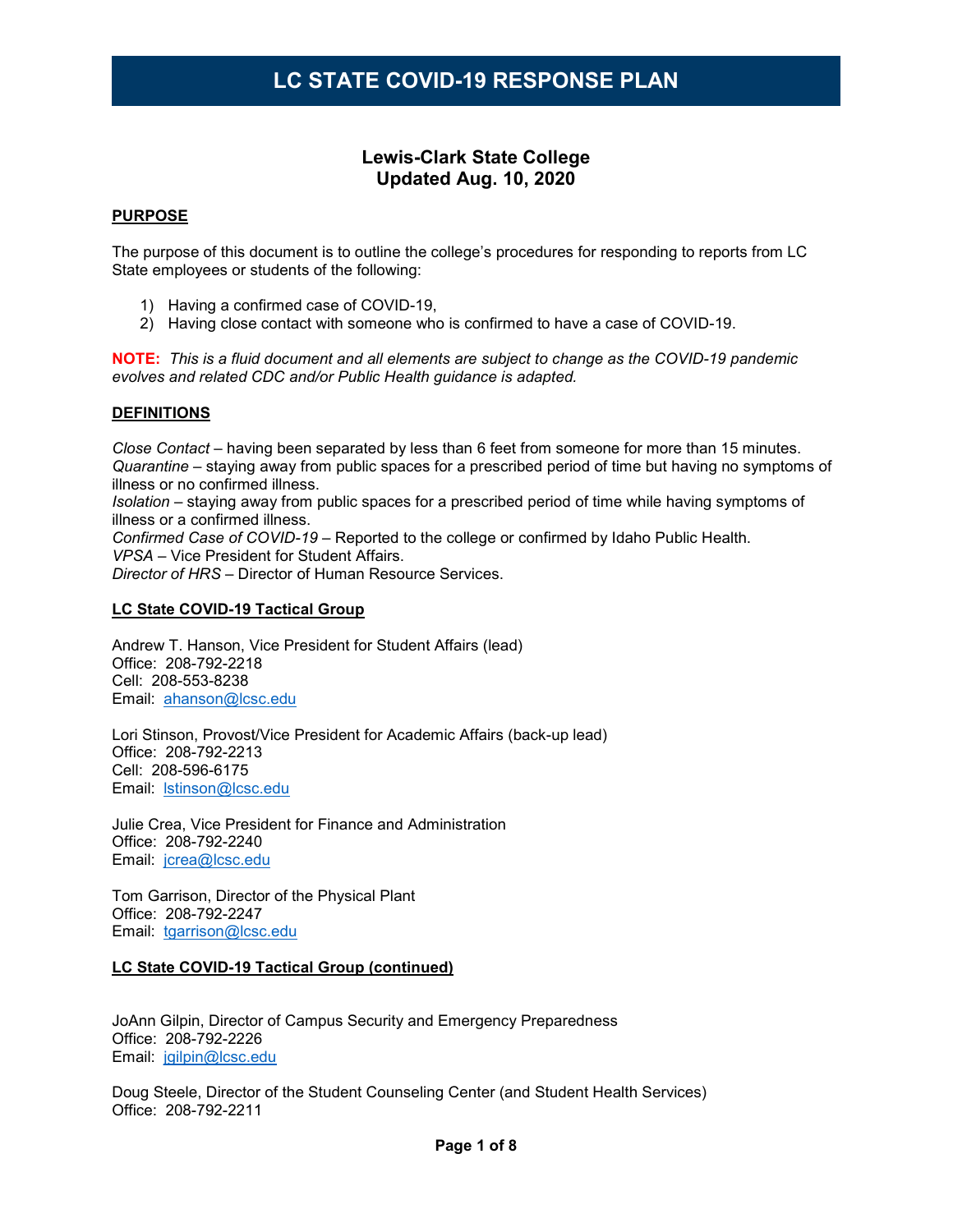### **Lewis-Clark State College Updated Aug. 10, 2020**

#### **PURPOSE**

The purpose of this document is to outline the college's procedures for responding to reports from LC State employees or students of the following:

- 1) Having a confirmed case of COVID-19,
- 2) Having close contact with someone who is confirmed to have a case of COVID-19.

**NOTE:** *This is a fluid document and all elements are subject to change as the COVID-19 pandemic evolves and related CDC and/or Public Health guidance is adapted.*

#### **DEFINITIONS**

*Close Contact* – having been separated by less than 6 feet from someone for more than 15 minutes. *Quarantine* – staying away from public spaces for a prescribed period of time but having no symptoms of illness or no confirmed illness.

*Isolation* – staying away from public spaces for a prescribed period of time while having symptoms of illness or a confirmed illness.

*Confirmed Case of COVID-19* – Reported to the college or confirmed by Idaho Public Health. *VPSA* – Vice President for Student Affairs.

*Director of HRS* – Director of Human Resource Services.

#### **LC State COVID-19 Tactical Group**

Andrew T. Hanson, Vice President for Student Affairs (lead) Office: 208-792-2218 Cell: 208-553-8238 Email: [ahanson@lcsc.edu](mailto:ahanson@lcsc.edu)

Lori Stinson, Provost/Vice President for Academic Affairs (back-up lead) Office: 208-792-2213 Cell: 208-596-6175 Email: [lstinson@lcsc.edu](mailto:lstinson@lcsc.edu)

Julie Crea, Vice President for Finance and Administration Office: 208-792-2240 Email: [jcrea@lcsc.edu](mailto:jcrea@lcsc.edu)

Tom Garrison, Director of the Physical Plant Office: 208-792-2247 Email: [tgarrison@lcsc.edu](mailto:tgarrison@lcsc.edu)

#### **LC State COVID-19 Tactical Group (continued)**

JoAnn Gilpin, Director of Campus Security and Emergency Preparedness Office: 208-792-2226 Email: [jgilpin@lcsc.edu](mailto:jgilpin@lcsc.edu)

Doug Steele, Director of the Student Counseling Center (and Student Health Services) Office: 208-792-2211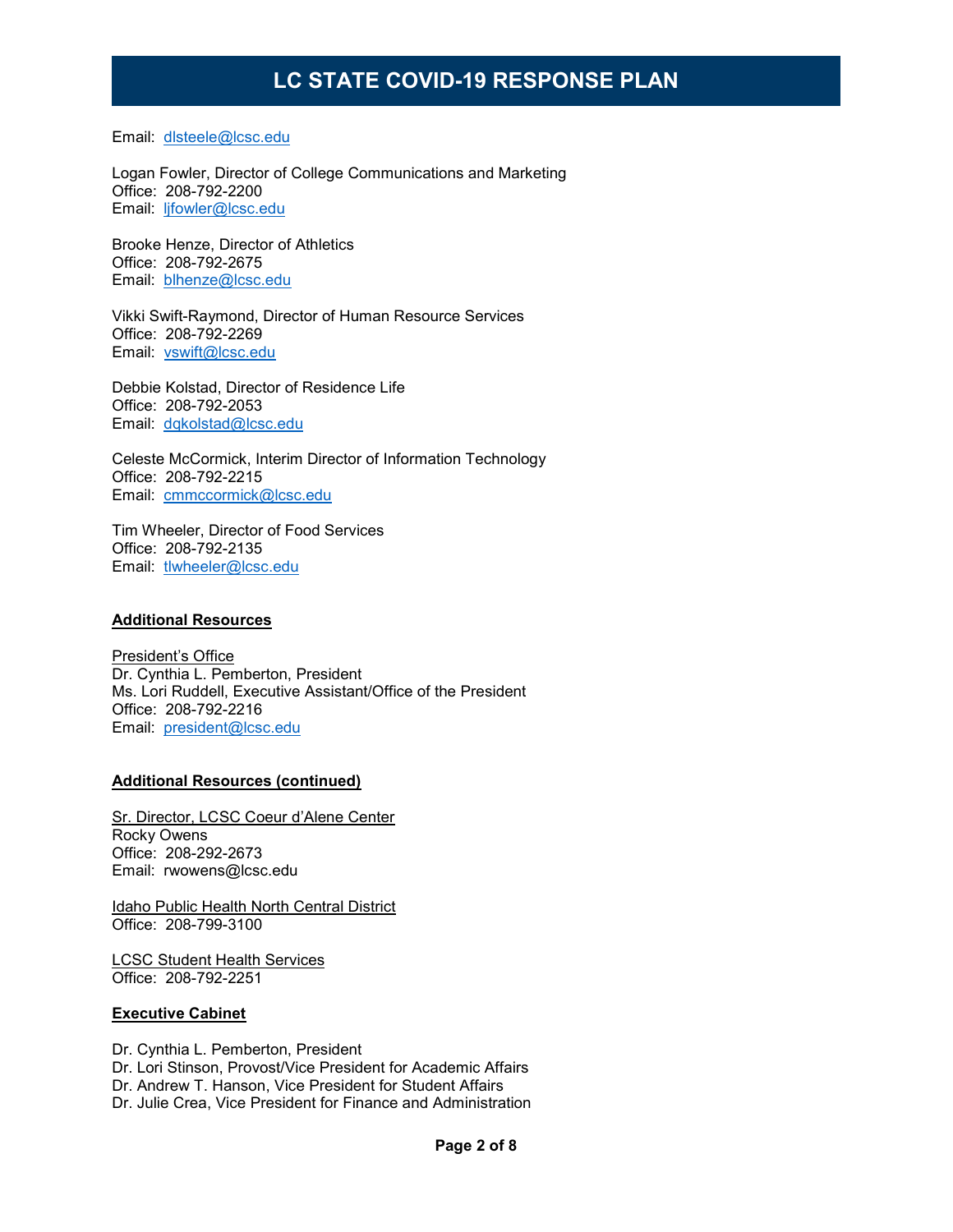Email: [dlsteele@lcsc.edu](mailto:dlsteele@lcsc.edu)

Logan Fowler, Director of College Communications and Marketing Office: 208-792-2200 Email: [ljfowler@lcsc.edu](mailto:ljfowler@lcsc.edu)

Brooke Henze, Director of Athletics Office: 208-792-2675 Email: [blhenze@lcsc.edu](mailto:blhenze@lcsc.edu)

Vikki Swift-Raymond, Director of Human Resource Services Office: 208-792-2269 Email: [vswift@lcsc.edu](mailto:vswift@lcsc.edu)

Debbie Kolstad, Director of Residence Life Office: 208-792-2053 Email: [dqkolstad@lcsc.edu](mailto:dqkolstad@lcsc.edu)

Celeste McCormick, Interim Director of Information Technology Office: 208-792-2215 Email: [cmmccormick@lcsc.edu](mailto:cmmccormick@lcsc.edu)

Tim Wheeler, Director of Food Services Office: 208-792-2135 Email: [tlwheeler@lcsc.edu](mailto:tlwheeler@lcsc.edu)

#### **Additional Resources**

President's Office Dr. Cynthia L. Pemberton, President Ms. Lori Ruddell, Executive Assistant/Office of the President Office: 208-792-2216 Email: [president@lcsc.edu](mailto:president@lcsc.edu)

#### **Additional Resources (continued)**

Sr. Director, LCSC Coeur d'Alene Center Rocky Owens Office: 208-292-2673 Email: rwowens@lcsc.edu

Idaho Public Health North Central District Office: 208-799-3100

LCSC Student Health Services Office: 208-792-2251

#### **Executive Cabinet**

Dr. Cynthia L. Pemberton, President Dr. Lori Stinson, Provost/Vice President for Academic Affairs Dr. Andrew T. Hanson, Vice President for Student Affairs Dr. Julie Crea, Vice President for Finance and Administration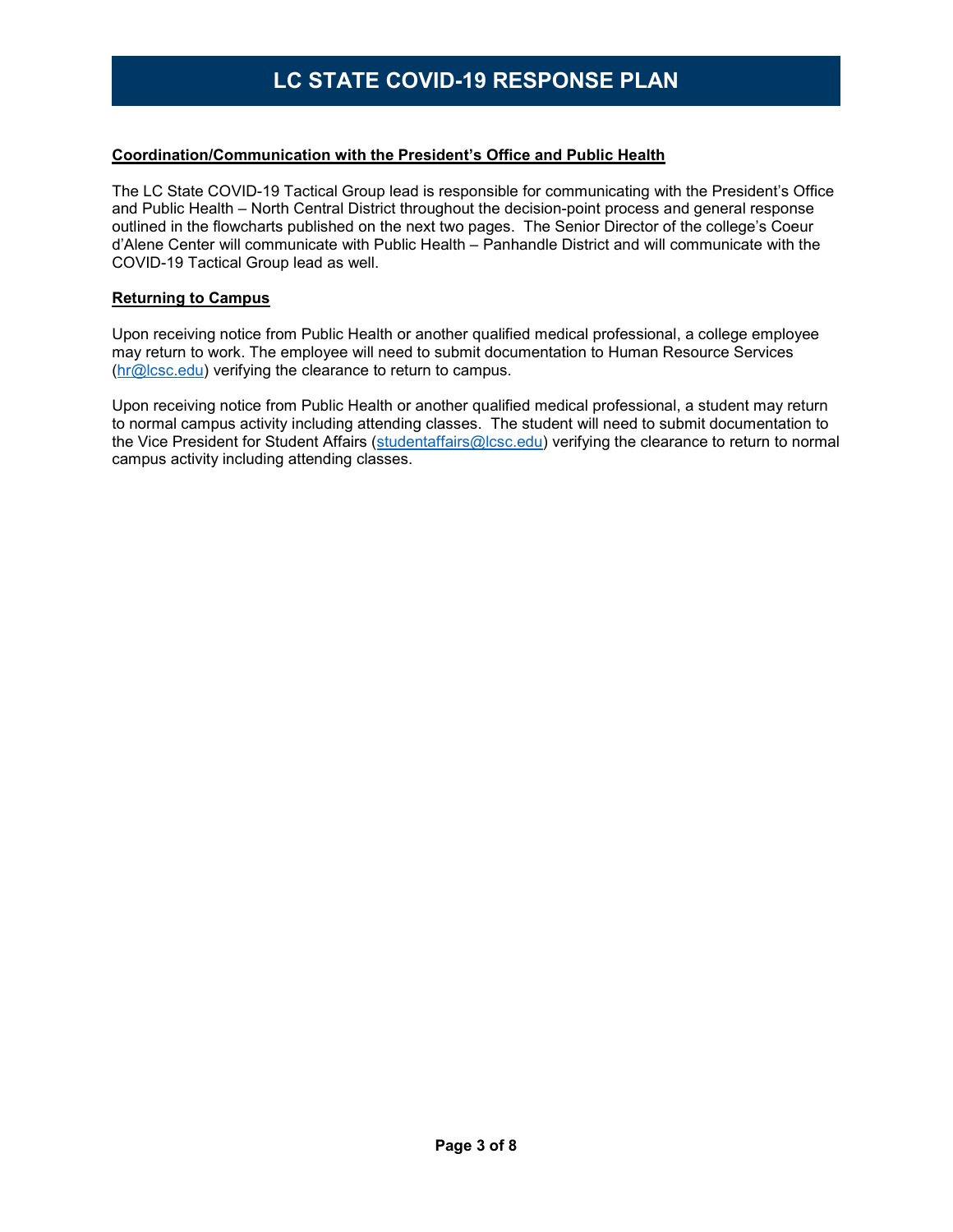#### **Coordination/Communication with the President's Office and Public Health**

The LC State COVID-19 Tactical Group lead is responsible for communicating with the President's Office and Public Health – North Central District throughout the decision-point process and general response outlined in the flowcharts published on the next two pages. The Senior Director of the college's Coeur d'Alene Center will communicate with Public Health – Panhandle District and will communicate with the COVID-19 Tactical Group lead as well.

#### **Returning to Campus**

Upon receiving notice from Public Health or another qualified medical professional, a college employee may return to work. The employee will need to submit documentation to Human Resource Services [\(hr@lcsc.edu\)](mailto:hr@lcsc.edu) verifying the clearance to return to campus.

Upon receiving notice from Public Health or another qualified medical professional, a student may return to normal campus activity including attending classes. The student will need to submit documentation to the Vice President for Student Affairs [\(studentaffairs@lcsc.edu\)](mailto:studentaffairs@lcsc.edu) verifying the clearance to return to normal campus activity including attending classes.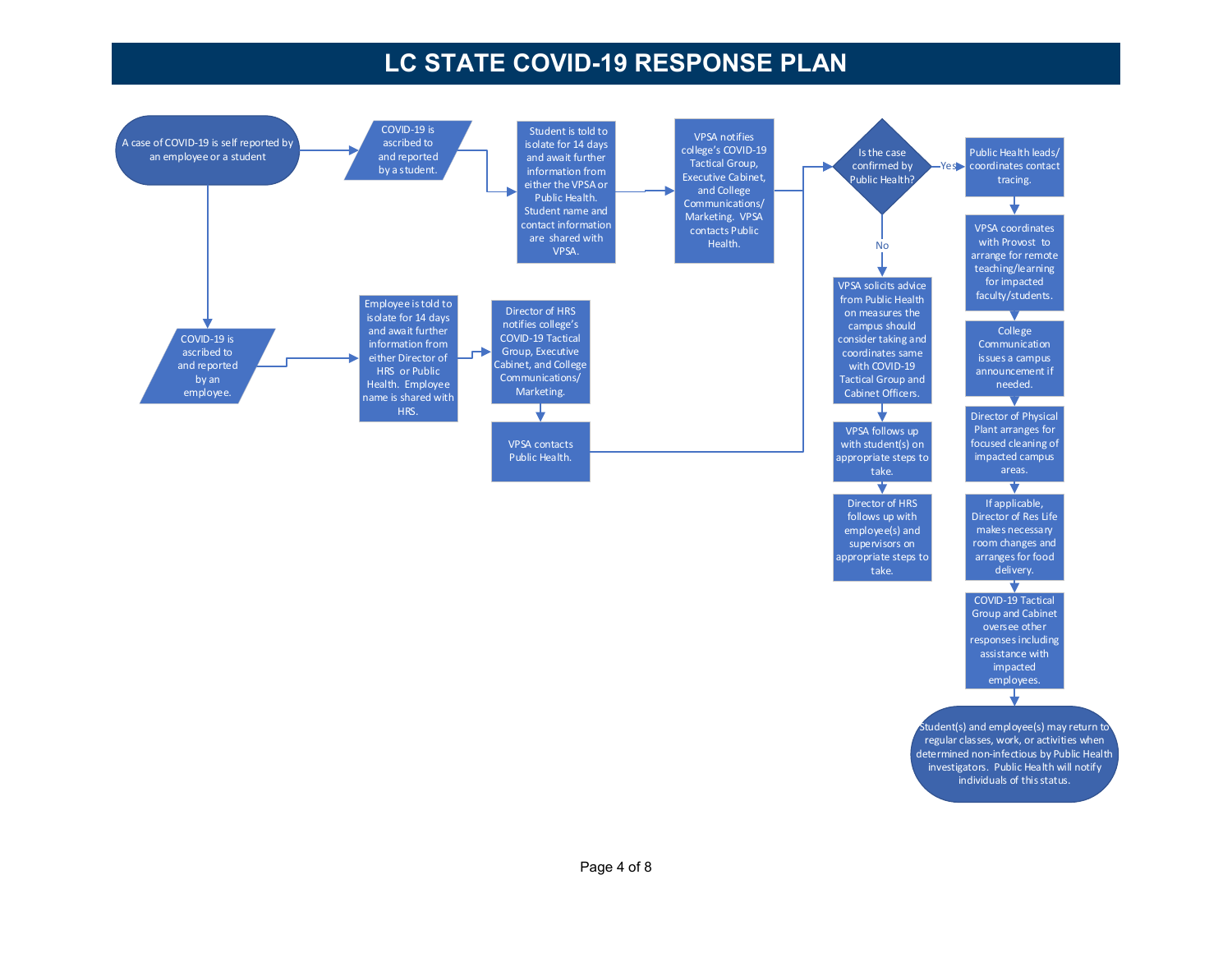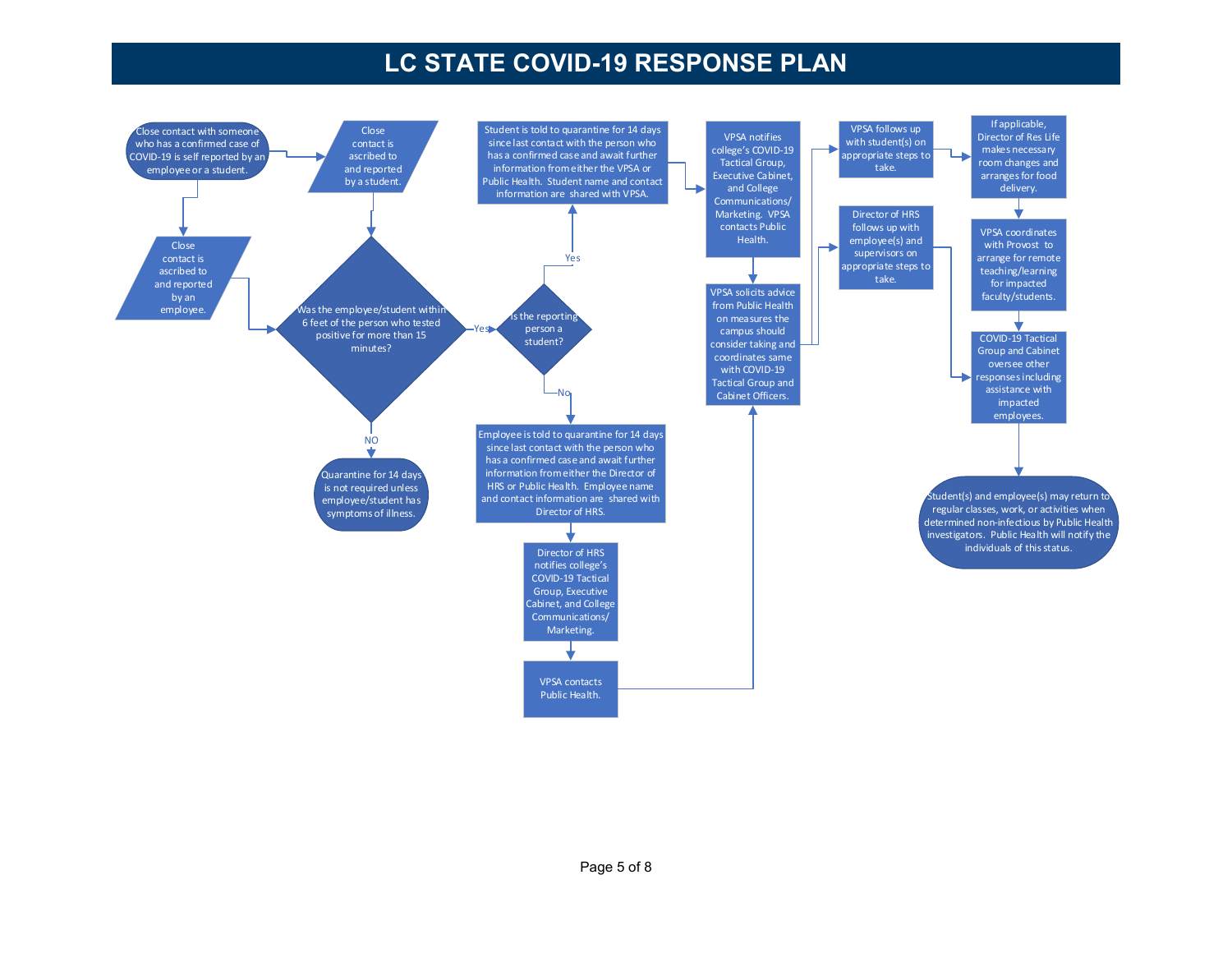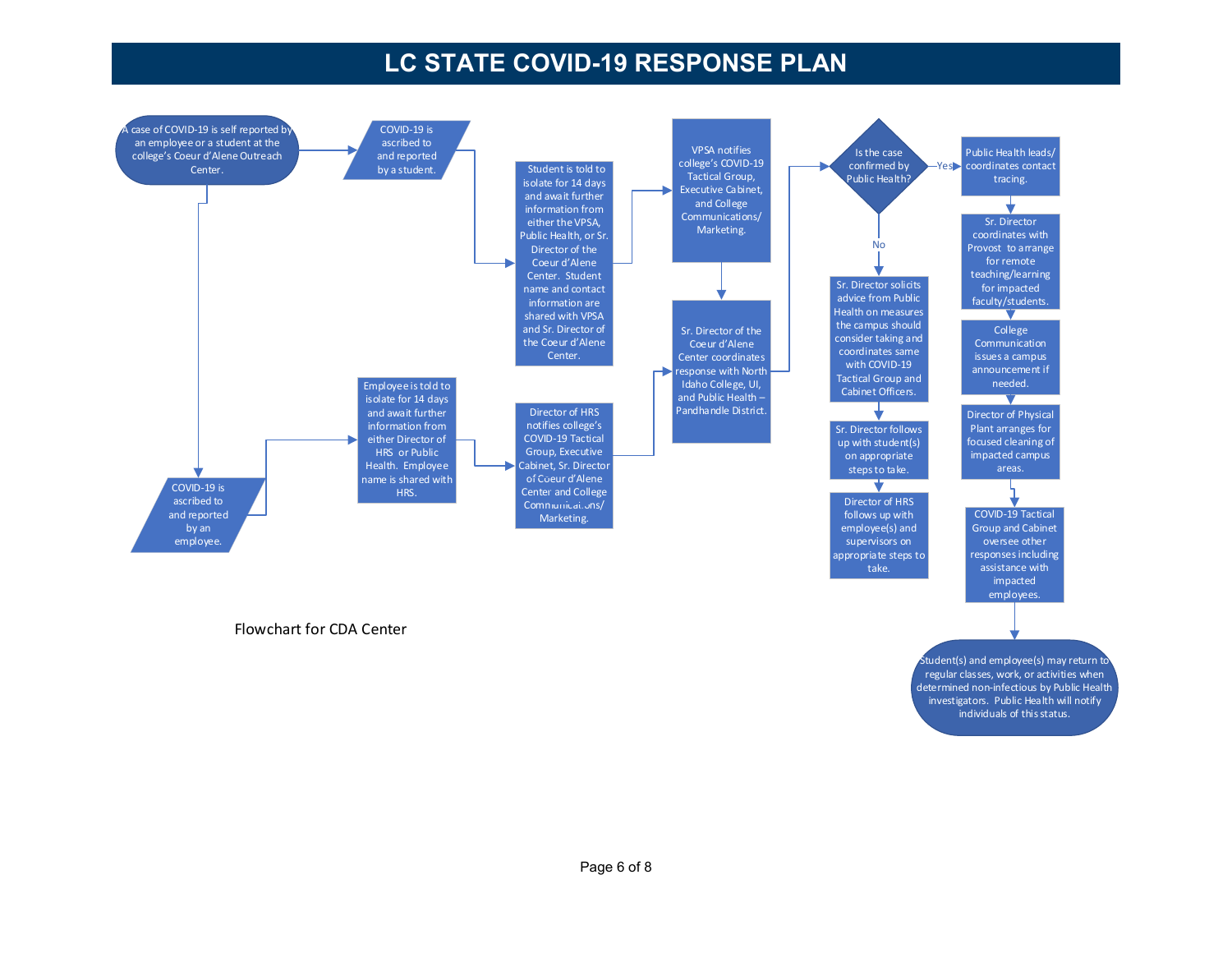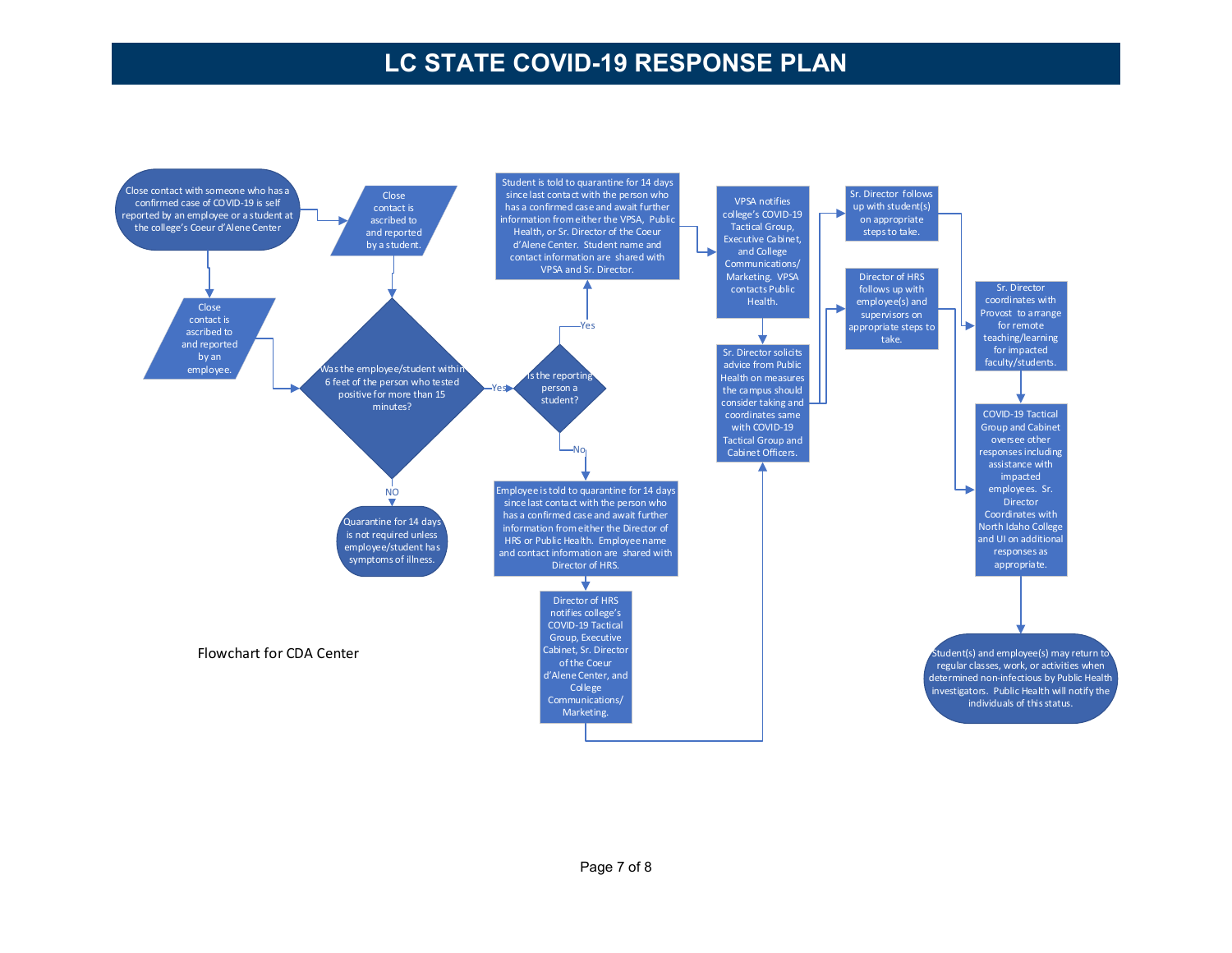